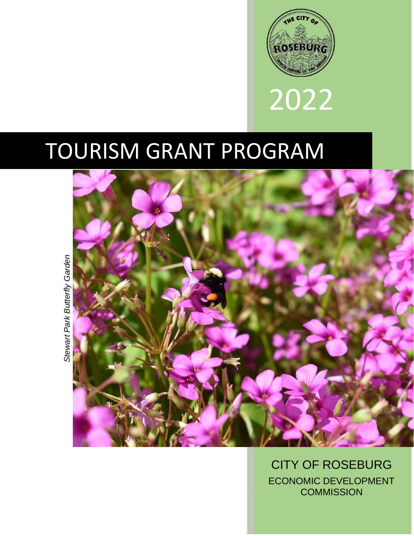



# TOURISM GRANT PROGRAM



CITY OF ROSEBURG ECONOMIC DEVELOPMENT **COMMISSION**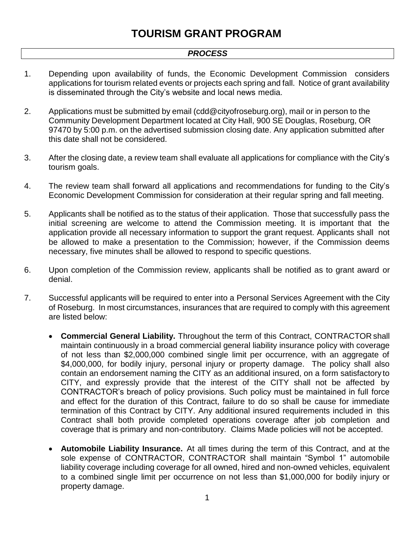#### *PROCESS*

- 1. Depending upon availability of funds, the Economic Development Commission considers applications for tourism related events or projects each spring and fall. Notice of grant availability is disseminated through the City's website and local news media.
- 2. Applications must be submitted by email (cdd@cityofroseburg.org), mail or in person to the Community Development Department located at City Hall, 900 SE Douglas, Roseburg, OR 97470 by 5:00 p.m. on the advertised submission closing date. Any application submitted after this date shall not be considered.
- 3. After the closing date, a review team shall evaluate all applications for compliance with the City's tourism goals.
- 4. The review team shall forward all applications and recommendations for funding to the City's Economic Development Commission for consideration at their regular spring and fall meeting.
- 5. Applicants shall be notified as to the status of their application. Those that successfully pass the initial screening are welcome to attend the Commission meeting. It is important that the application provide all necessary information to support the grant request. Applicants shall not be allowed to make a presentation to the Commission; however, if the Commission deems necessary, five minutes shall be allowed to respond to specific questions.
- 6. Upon completion of the Commission review, applicants shall be notified as to grant award or denial.
- 7. Successful applicants will be required to enter into a Personal Services Agreement with the City of Roseburg. In most circumstances, insurances that are required to comply with this agreement are listed below:
	- **Commercial General Liability.** Throughout the term of this Contract, CONTRACTOR shall maintain continuously in a broad commercial general liability insurance policy with coverage of not less than \$2,000,000 combined single limit per occurrence, with an aggregate of \$4,000,000, for bodily injury, personal injury or property damage. The policy shall also contain an endorsement naming the CITY as an additional insured, on a form satisfactory to CITY, and expressly provide that the interest of the CITY shall not be affected by CONTRACTOR's breach of policy provisions. Such policy must be maintained in full force and effect for the duration of this Contract, failure to do so shall be cause for immediate termination of this Contract by CITY. Any additional insured requirements included in this Contract shall both provide completed operations coverage after job completion and coverage that is primary and non-contributory. Claims Made policies will not be accepted.
	- **Automobile Liability Insurance.** At all times during the term of this Contract, and at the sole expense of CONTRACTOR, CONTRACTOR shall maintain "Symbol 1" automobile liability coverage including coverage for all owned, hired and non-owned vehicles, equivalent to a combined single limit per occurrence on not less than \$1,000,000 for bodily injury or property damage.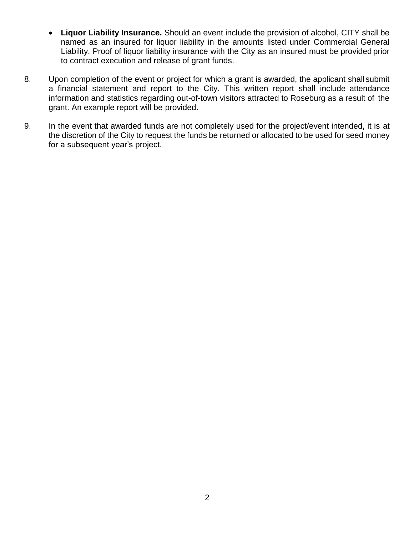- **Liquor Liability Insurance.** Should an event include the provision of alcohol, CITY shall be named as an insured for liquor liability in the amounts listed under Commercial General Liability. Proof of liquor liability insurance with the City as an insured must be provided prior to contract execution and release of grant funds.
- 8. Upon completion of the event or project for which a grant is awarded, the applicant shall submit a financial statement and report to the City. This written report shall include attendance information and statistics regarding out-of-town visitors attracted to Roseburg as a result of the grant. An example report will be provided.
- 9. In the event that awarded funds are not completely used for the project/event intended, it is at the discretion of the City to request the funds be returned or allocated to be used for seed money for a subsequent year's project.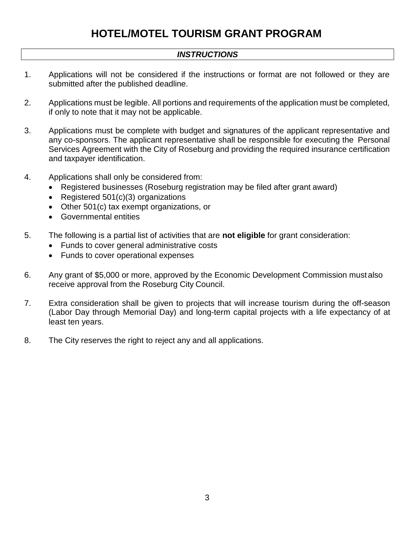## **HOTEL/MOTEL TOURISM GRANT PROGRAM**

### *INSTRUCTIONS*

- 1. Applications will not be considered if the instructions or format are not followed or they are submitted after the published deadline.
- 2. Applications must be legible. All portions and requirements of the application must be completed, if only to note that it may not be applicable.
- 3. Applications must be complete with budget and signatures of the applicant representative and any co-sponsors. The applicant representative shall be responsible for executing the Personal Services Agreement with the City of Roseburg and providing the required insurance certification and taxpayer identification.
- 4. Applications shall only be considered from:
	- Registered businesses (Roseburg registration may be filed after grant award)
	- Registered 501(c)(3) organizations
	- Other 501(c) tax exempt organizations, or
	- Governmental entities
- 5. The following is a partial list of activities that are **not eligible** for grant consideration:
	- Funds to cover general administrative costs
	- Funds to cover operational expenses
- 6. Any grant of \$5,000 or more, approved by the Economic Development Commission must also receive approval from the Roseburg City Council.
- 7. Extra consideration shall be given to projects that will increase tourism during the off-season (Labor Day through Memorial Day) and long-term capital projects with a life expectancy of at least ten years.
- 8. The City reserves the right to reject any and all applications.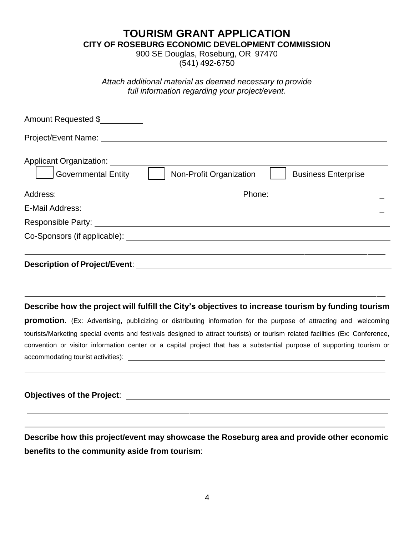**TOURISM GRANT APPLICATION**

**CITY OF ROSEBURG ECONOMIC DEVELOPMENT COMMISSION**

900 SE Douglas, Roseburg, OR 97470 (541) 492-6750

*Attach additional material as deemed necessary to provide full information regarding your project/event.*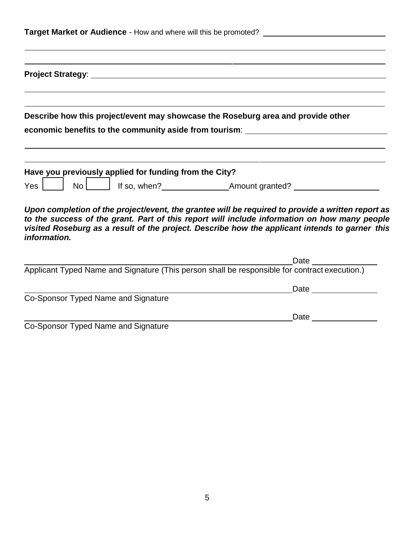| Describe how this project/event may showcase the Roseburg area and provide other | economic benefits to the community aside from tourism: Network and the manuscription of the control of the community aside from tourism:                                                                                                                                                            |  |
|----------------------------------------------------------------------------------|-----------------------------------------------------------------------------------------------------------------------------------------------------------------------------------------------------------------------------------------------------------------------------------------------------|--|
| Have you previously applied for funding from the City?<br>$Yes$ $ $              |                                                                                                                                                                                                                                                                                                     |  |
| information.                                                                     | Upon completion of the project/event, the grantee will be required to provide a written report as<br>to the success of the grant. Part of this report will include information on how many people<br>visited Roseburg as a result of the project. Describe how the applicant intends to garner this |  |
|                                                                                  |                                                                                                                                                                                                                                                                                                     |  |
| Co-Sponsor Typed Name and Signature                                              | Date ________________                                                                                                                                                                                                                                                                               |  |
|                                                                                  | Date and the state of the state of the state of the state of the state of the state of the state of the state of the state of the state of the state of the state of the state of the state of the state of the state of the s                                                                      |  |
| Co-Sponsor Typed Name and Signature                                              |                                                                                                                                                                                                                                                                                                     |  |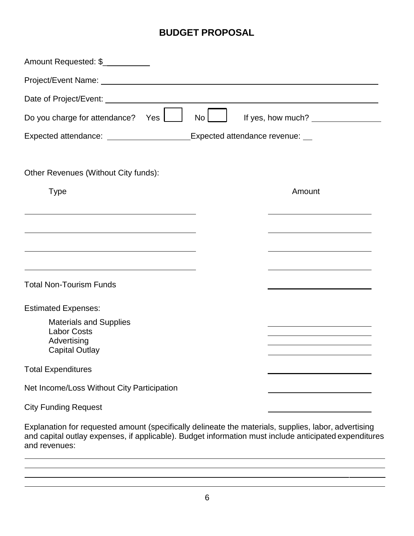## **BUDGET PROPOSAL**

| Amount Requested: \$                                                                                                  |                 |                                                                            |  |
|-----------------------------------------------------------------------------------------------------------------------|-----------------|----------------------------------------------------------------------------|--|
|                                                                                                                       |                 |                                                                            |  |
|                                                                                                                       |                 |                                                                            |  |
| Do you charge for attendance?<br>Yes                                                                                  | No <sub>1</sub> |                                                                            |  |
| Expected attendance: _________________________Expected attendance revenue: ___                                        |                 |                                                                            |  |
|                                                                                                                       |                 |                                                                            |  |
| Other Revenues (Without City funds):                                                                                  |                 |                                                                            |  |
| <b>Type</b>                                                                                                           |                 | Amount                                                                     |  |
| the control of the control of the control of the control of the control of the control of                             |                 |                                                                            |  |
| <u> 1989 - Johann Barn, mars ann an t-Amhain Aonaichte ann an t-Aonaichte ann an t-Aonaichte ann an t-Aonaichte a</u> |                 |                                                                            |  |
|                                                                                                                       |                 |                                                                            |  |
| <u> 1989 - Johann Stoff, amerikansk politiker (* 1908)</u>                                                            |                 | the control of the control of the control of the control of the control of |  |
| <b>Total Non-Tourism Funds</b>                                                                                        |                 |                                                                            |  |
| <b>Estimated Expenses:</b>                                                                                            |                 |                                                                            |  |
| <b>Materials and Supplies</b><br><b>Labor Costs</b>                                                                   |                 |                                                                            |  |
| Advertising<br><b>Capital Outlay</b>                                                                                  |                 | the control of the control of the control of the control of the control of |  |
| <b>Total Expenditures</b>                                                                                             |                 |                                                                            |  |
| Net Income/Loss Without City Participation                                                                            |                 |                                                                            |  |
| <b>City Funding Request</b>                                                                                           |                 |                                                                            |  |
|                                                                                                                       |                 |                                                                            |  |

Explanation for requested amount (specifically delineate the materials, supplies, labor, advertising and capital outlay expenses, if applicable). Budget information must include anticipated expenditures and revenues:

the contract of the contract of the contract of the contract of the contract of